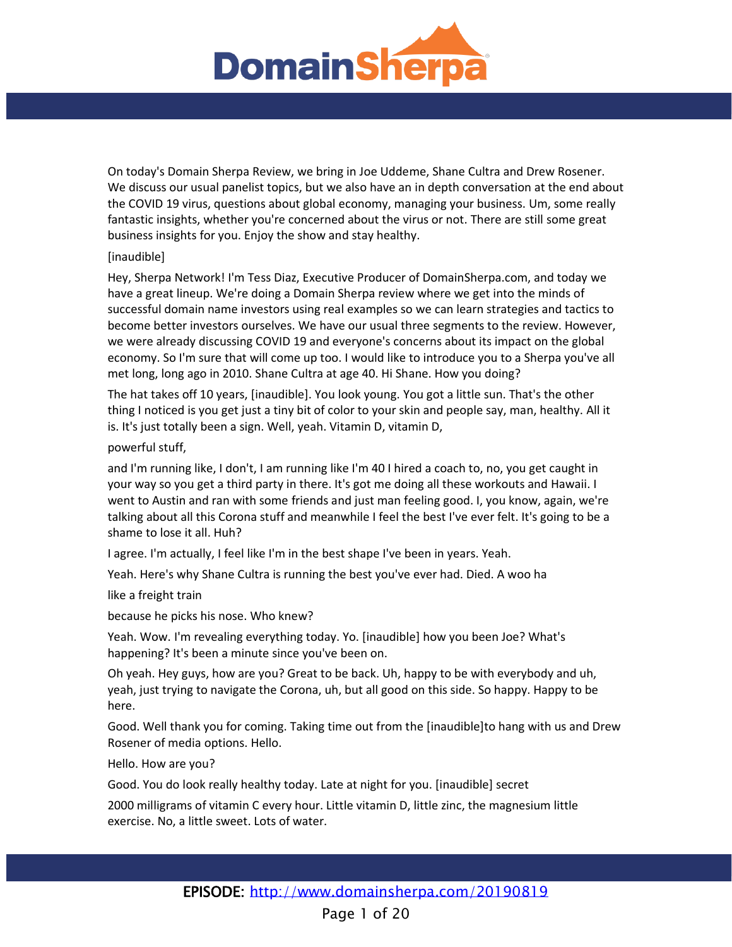

On today's Domain Sherpa Review, we bring in Joe Uddeme, Shane Cultra and Drew Rosener. We discuss our usual panelist topics, but we also have an in depth conversation at the end about the COVID 19 virus, questions about global economy, managing your business. Um, some really fantastic insights, whether you're concerned about the virus or not. There are still some great business insights for you. Enjoy the show and stay healthy.

# [inaudible]

Hey, Sherpa Network! I'm Tess Diaz, Executive Producer of DomainSherpa.com, and today we have a great lineup. We're doing a Domain Sherpa review where we get into the minds of successful domain name investors using real examples so we can learn strategies and tactics to become better investors ourselves. We have our usual three segments to the review. However, we were already discussing COVID 19 and everyone's concerns about its impact on the global economy. So I'm sure that will come up too. I would like to introduce you to a Sherpa you've all met long, long ago in 2010. Shane Cultra at age 40. Hi Shane. How you doing?

The hat takes off 10 years, [inaudible]. You look young. You got a little sun. That's the other thing I noticed is you get just a tiny bit of color to your skin and people say, man, healthy. All it is. It's just totally been a sign. Well, yeah. Vitamin D, vitamin D,

# powerful stuff,

and I'm running like, I don't, I am running like I'm 40 I hired a coach to, no, you get caught in your way so you get a third party in there. It's got me doing all these workouts and Hawaii. I went to Austin and ran with some friends and just man feeling good. I, you know, again, we're talking about all this Corona stuff and meanwhile I feel the best I've ever felt. It's going to be a shame to lose it all. Huh?

I agree. I'm actually, I feel like I'm in the best shape I've been in years. Yeah.

Yeah. Here's why Shane Cultra is running the best you've ever had. Died. A woo ha

like a freight train

because he picks his nose. Who knew?

Yeah. Wow. I'm revealing everything today. Yo. [inaudible] how you been Joe? What's happening? It's been a minute since you've been on.

Oh yeah. Hey guys, how are you? Great to be back. Uh, happy to be with everybody and uh, yeah, just trying to navigate the Corona, uh, but all good on this side. So happy. Happy to be here.

Good. Well thank you for coming. Taking time out from the [inaudible]to hang with us and Drew Rosener of media options. Hello.

Hello. How are you?

Good. You do look really healthy today. Late at night for you. [inaudible] secret

2000 milligrams of vitamin C every hour. Little vitamin D, little zinc, the magnesium little exercise. No, a little sweet. Lots of water.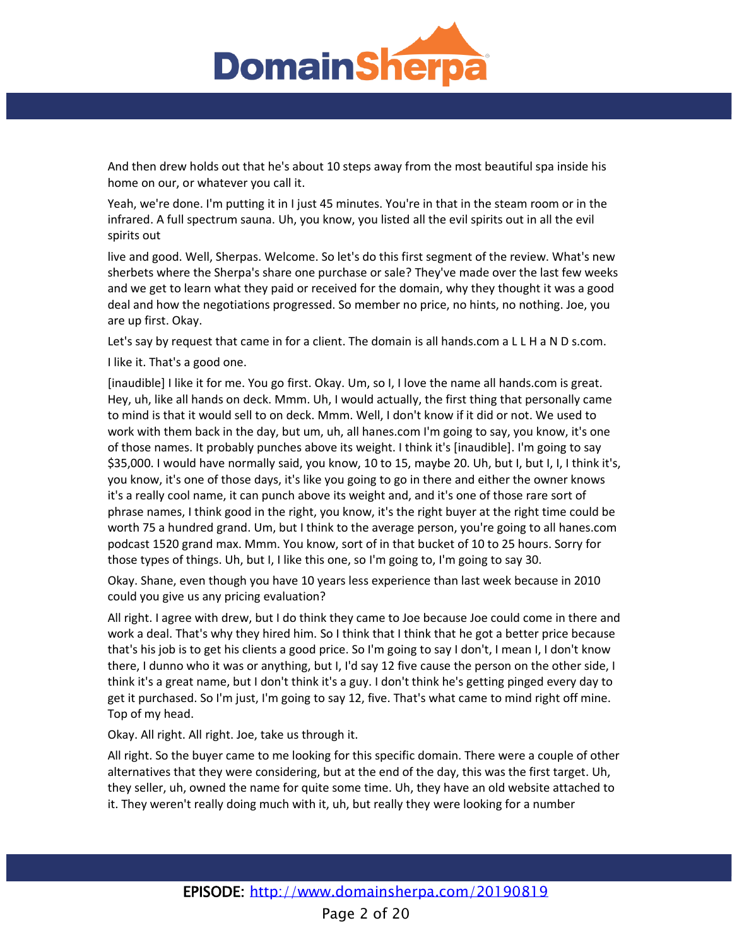

And then drew holds out that he's about 10 steps away from the most beautiful spa inside his home on our, or whatever you call it.

Yeah, we're done. I'm putting it in I just 45 minutes. You're in that in the steam room or in the infrared. A full spectrum sauna. Uh, you know, you listed all the evil spirits out in all the evil spirits out

live and good. Well, Sherpas. Welcome. So let's do this first segment of the review. What's new sherbets where the Sherpa's share one purchase or sale? They've made over the last few weeks and we get to learn what they paid or received for the domain, why they thought it was a good deal and how the negotiations progressed. So member no price, no hints, no nothing. Joe, you are up first. Okay.

Let's say by request that came in for a client. The domain is all hands.com a L L H a N D s.com.

I like it. That's a good one.

[inaudible] I like it for me. You go first. Okay. Um, so I, I love the name all hands.com is great. Hey, uh, like all hands on deck. Mmm. Uh, I would actually, the first thing that personally came to mind is that it would sell to on deck. Mmm. Well, I don't know if it did or not. We used to work with them back in the day, but um, uh, all hanes.com I'm going to say, you know, it's one of those names. It probably punches above its weight. I think it's [inaudible]. I'm going to say \$35,000. I would have normally said, you know, 10 to 15, maybe 20. Uh, but I, but I, I, I think it's, you know, it's one of those days, it's like you going to go in there and either the owner knows it's a really cool name, it can punch above its weight and, and it's one of those rare sort of phrase names, I think good in the right, you know, it's the right buyer at the right time could be worth 75 a hundred grand. Um, but I think to the average person, you're going to all hanes.com podcast 1520 grand max. Mmm. You know, sort of in that bucket of 10 to 25 hours. Sorry for those types of things. Uh, but I, I like this one, so I'm going to, I'm going to say 30.

Okay. Shane, even though you have 10 years less experience than last week because in 2010 could you give us any pricing evaluation?

All right. I agree with drew, but I do think they came to Joe because Joe could come in there and work a deal. That's why they hired him. So I think that I think that he got a better price because that's his job is to get his clients a good price. So I'm going to say I don't, I mean I, I don't know there, I dunno who it was or anything, but I, I'd say 12 five cause the person on the other side, I think it's a great name, but I don't think it's a guy. I don't think he's getting pinged every day to get it purchased. So I'm just, I'm going to say 12, five. That's what came to mind right off mine. Top of my head.

Okay. All right. All right. Joe, take us through it.

All right. So the buyer came to me looking for this specific domain. There were a couple of other alternatives that they were considering, but at the end of the day, this was the first target. Uh, they seller, uh, owned the name for quite some time. Uh, they have an old website attached to it. They weren't really doing much with it, uh, but really they were looking for a number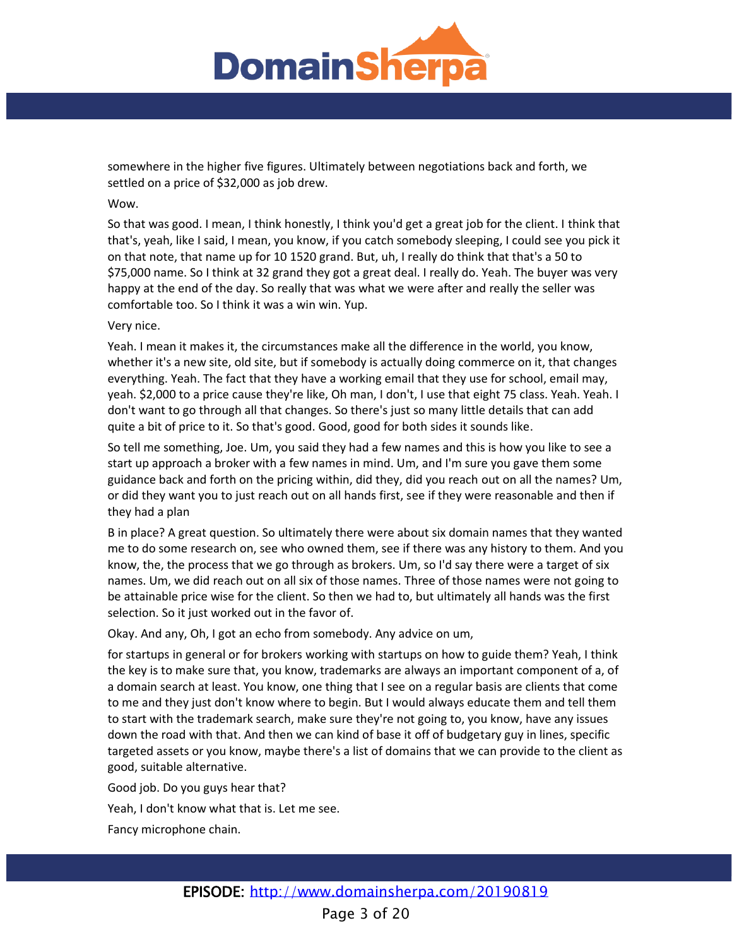

somewhere in the higher five figures. Ultimately between negotiations back and forth, we settled on a price of \$32,000 as job drew.

## Wow.

So that was good. I mean, I think honestly, I think you'd get a great job for the client. I think that that's, yeah, like I said, I mean, you know, if you catch somebody sleeping, I could see you pick it on that note, that name up for 10 1520 grand. But, uh, I really do think that that's a 50 to \$75,000 name. So I think at 32 grand they got a great deal. I really do. Yeah. The buyer was very happy at the end of the day. So really that was what we were after and really the seller was comfortable too. So I think it was a win win. Yup.

## Very nice.

Yeah. I mean it makes it, the circumstances make all the difference in the world, you know, whether it's a new site, old site, but if somebody is actually doing commerce on it, that changes everything. Yeah. The fact that they have a working email that they use for school, email may, yeah. \$2,000 to a price cause they're like, Oh man, I don't, I use that eight 75 class. Yeah. Yeah. I don't want to go through all that changes. So there's just so many little details that can add quite a bit of price to it. So that's good. Good, good for both sides it sounds like.

So tell me something, Joe. Um, you said they had a few names and this is how you like to see a start up approach a broker with a few names in mind. Um, and I'm sure you gave them some guidance back and forth on the pricing within, did they, did you reach out on all the names? Um, or did they want you to just reach out on all hands first, see if they were reasonable and then if they had a plan

B in place? A great question. So ultimately there were about six domain names that they wanted me to do some research on, see who owned them, see if there was any history to them. And you know, the, the process that we go through as brokers. Um, so I'd say there were a target of six names. Um, we did reach out on all six of those names. Three of those names were not going to be attainable price wise for the client. So then we had to, but ultimately all hands was the first selection. So it just worked out in the favor of.

Okay. And any, Oh, I got an echo from somebody. Any advice on um,

for startups in general or for brokers working with startups on how to guide them? Yeah, I think the key is to make sure that, you know, trademarks are always an important component of a, of a domain search at least. You know, one thing that I see on a regular basis are clients that come to me and they just don't know where to begin. But I would always educate them and tell them to start with the trademark search, make sure they're not going to, you know, have any issues down the road with that. And then we can kind of base it off of budgetary guy in lines, specific targeted assets or you know, maybe there's a list of domains that we can provide to the client as good, suitable alternative.

Good job. Do you guys hear that?

Yeah, I don't know what that is. Let me see.

Fancy microphone chain.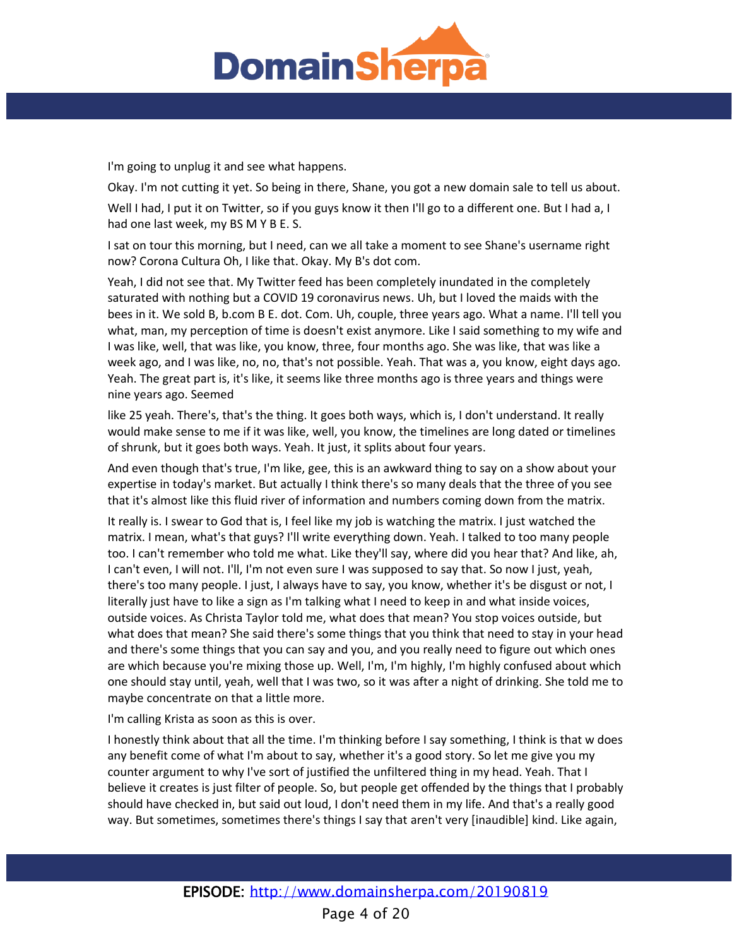

I'm going to unplug it and see what happens.

Okay. I'm not cutting it yet. So being in there, Shane, you got a new domain sale to tell us about.

Well I had, I put it on Twitter, so if you guys know it then I'll go to a different one. But I had a, I had one last week, my BS M Y B E. S.

I sat on tour this morning, but I need, can we all take a moment to see Shane's username right now? Corona Cultura Oh, I like that. Okay. My B's dot com.

Yeah, I did not see that. My Twitter feed has been completely inundated in the completely saturated with nothing but a COVID 19 coronavirus news. Uh, but I loved the maids with the bees in it. We sold B, b.com B E. dot. Com. Uh, couple, three years ago. What a name. I'll tell you what, man, my perception of time is doesn't exist anymore. Like I said something to my wife and I was like, well, that was like, you know, three, four months ago. She was like, that was like a week ago, and I was like, no, no, that's not possible. Yeah. That was a, you know, eight days ago. Yeah. The great part is, it's like, it seems like three months ago is three years and things were nine years ago. Seemed

like 25 yeah. There's, that's the thing. It goes both ways, which is, I don't understand. It really would make sense to me if it was like, well, you know, the timelines are long dated or timelines of shrunk, but it goes both ways. Yeah. It just, it splits about four years.

And even though that's true, I'm like, gee, this is an awkward thing to say on a show about your expertise in today's market. But actually I think there's so many deals that the three of you see that it's almost like this fluid river of information and numbers coming down from the matrix.

It really is. I swear to God that is, I feel like my job is watching the matrix. I just watched the matrix. I mean, what's that guys? I'll write everything down. Yeah. I talked to too many people too. I can't remember who told me what. Like they'll say, where did you hear that? And like, ah, I can't even, I will not. I'll, I'm not even sure I was supposed to say that. So now I just, yeah, there's too many people. I just, I always have to say, you know, whether it's be disgust or not, I literally just have to like a sign as I'm talking what I need to keep in and what inside voices, outside voices. As Christa Taylor told me, what does that mean? You stop voices outside, but what does that mean? She said there's some things that you think that need to stay in your head and there's some things that you can say and you, and you really need to figure out which ones are which because you're mixing those up. Well, I'm, I'm highly, I'm highly confused about which one should stay until, yeah, well that I was two, so it was after a night of drinking. She told me to maybe concentrate on that a little more.

I'm calling Krista as soon as this is over.

I honestly think about that all the time. I'm thinking before I say something, I think is that w does any benefit come of what I'm about to say, whether it's a good story. So let me give you my counter argument to why I've sort of justified the unfiltered thing in my head. Yeah. That I believe it creates is just filter of people. So, but people get offended by the things that I probably should have checked in, but said out loud, I don't need them in my life. And that's a really good way. But sometimes, sometimes there's things I say that aren't very [inaudible] kind. Like again,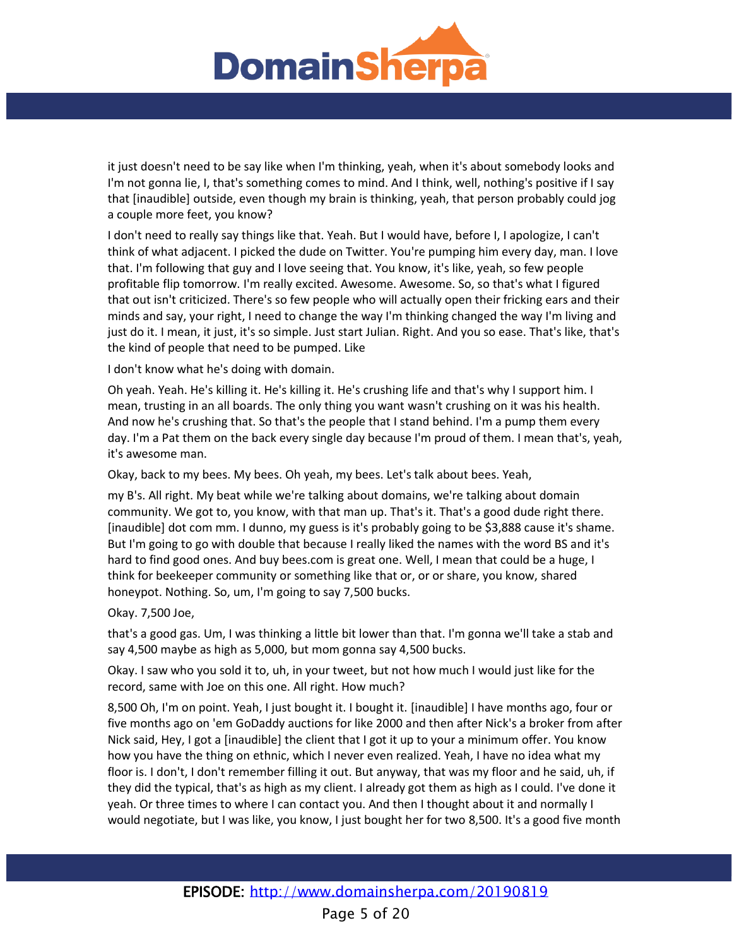

it just doesn't need to be say like when I'm thinking, yeah, when it's about somebody looks and I'm not gonna lie, I, that's something comes to mind. And I think, well, nothing's positive if I say that [inaudible] outside, even though my brain is thinking, yeah, that person probably could jog a couple more feet, you know?

I don't need to really say things like that. Yeah. But I would have, before I, I apologize, I can't think of what adjacent. I picked the dude on Twitter. You're pumping him every day, man. I love that. I'm following that guy and I love seeing that. You know, it's like, yeah, so few people profitable flip tomorrow. I'm really excited. Awesome. Awesome. So, so that's what I figured that out isn't criticized. There's so few people who will actually open their fricking ears and their minds and say, your right, I need to change the way I'm thinking changed the way I'm living and just do it. I mean, it just, it's so simple. Just start Julian. Right. And you so ease. That's like, that's the kind of people that need to be pumped. Like

I don't know what he's doing with domain.

Oh yeah. Yeah. He's killing it. He's killing it. He's crushing life and that's why I support him. I mean, trusting in an all boards. The only thing you want wasn't crushing on it was his health. And now he's crushing that. So that's the people that I stand behind. I'm a pump them every day. I'm a Pat them on the back every single day because I'm proud of them. I mean that's, yeah, it's awesome man.

Okay, back to my bees. My bees. Oh yeah, my bees. Let's talk about bees. Yeah,

my B's. All right. My beat while we're talking about domains, we're talking about domain community. We got to, you know, with that man up. That's it. That's a good dude right there. [inaudible] dot com mm. I dunno, my guess is it's probably going to be \$3,888 cause it's shame. But I'm going to go with double that because I really liked the names with the word BS and it's hard to find good ones. And buy bees.com is great one. Well, I mean that could be a huge, I think for beekeeper community or something like that or, or or share, you know, shared honeypot. Nothing. So, um, I'm going to say 7,500 bucks.

Okay. 7,500 Joe,

that's a good gas. Um, I was thinking a little bit lower than that. I'm gonna we'll take a stab and say 4,500 maybe as high as 5,000, but mom gonna say 4,500 bucks.

Okay. I saw who you sold it to, uh, in your tweet, but not how much I would just like for the record, same with Joe on this one. All right. How much?

8,500 Oh, I'm on point. Yeah, I just bought it. I bought it. [inaudible] I have months ago, four or five months ago on 'em GoDaddy auctions for like 2000 and then after Nick's a broker from after Nick said, Hey, I got a [inaudible] the client that I got it up to your a minimum offer. You know how you have the thing on ethnic, which I never even realized. Yeah, I have no idea what my floor is. I don't, I don't remember filling it out. But anyway, that was my floor and he said, uh, if they did the typical, that's as high as my client. I already got them as high as I could. I've done it yeah. Or three times to where I can contact you. And then I thought about it and normally I would negotiate, but I was like, you know, I just bought her for two 8,500. It's a good five month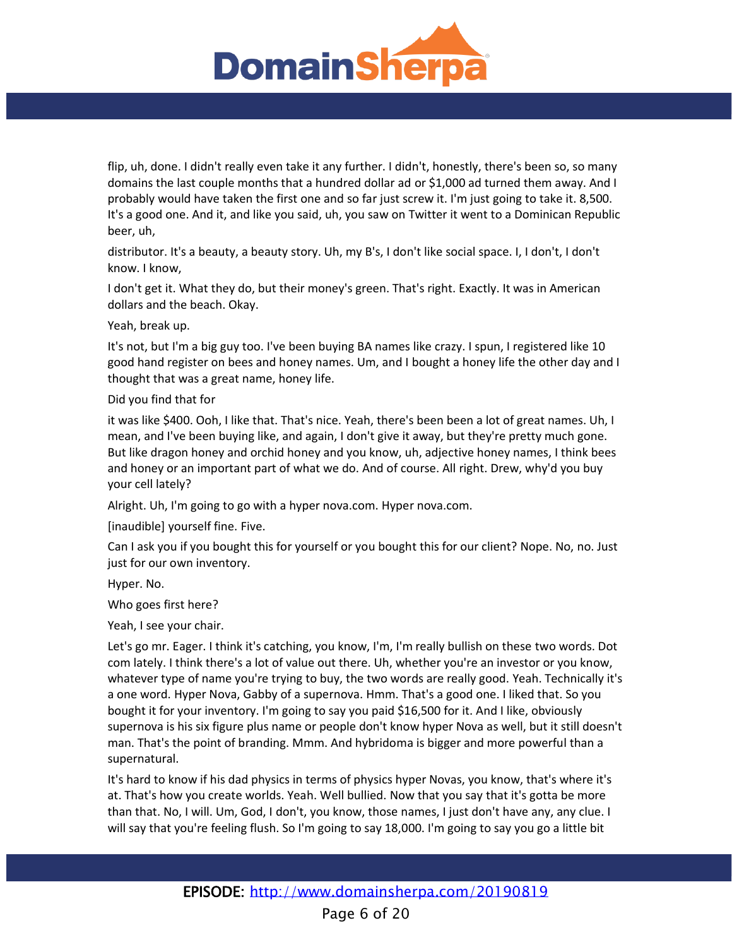

flip, uh, done. I didn't really even take it any further. I didn't, honestly, there's been so, so many domains the last couple months that a hundred dollar ad or \$1,000 ad turned them away. And I probably would have taken the first one and so far just screw it. I'm just going to take it. 8,500. It's a good one. And it, and like you said, uh, you saw on Twitter it went to a Dominican Republic beer, uh,

distributor. It's a beauty, a beauty story. Uh, my B's, I don't like social space. I, I don't, I don't know. I know,

I don't get it. What they do, but their money's green. That's right. Exactly. It was in American dollars and the beach. Okay.

Yeah, break up.

It's not, but I'm a big guy too. I've been buying BA names like crazy. I spun, I registered like 10 good hand register on bees and honey names. Um, and I bought a honey life the other day and I thought that was a great name, honey life.

Did you find that for

it was like \$400. Ooh, I like that. That's nice. Yeah, there's been been a lot of great names. Uh, I mean, and I've been buying like, and again, I don't give it away, but they're pretty much gone. But like dragon honey and orchid honey and you know, uh, adjective honey names, I think bees and honey or an important part of what we do. And of course. All right. Drew, why'd you buy your cell lately?

Alright. Uh, I'm going to go with a hyper nova.com. Hyper nova.com.

[inaudible] yourself fine. Five.

Can I ask you if you bought this for yourself or you bought this for our client? Nope. No, no. Just just for our own inventory.

Hyper. No.

Who goes first here?

Yeah, I see your chair.

Let's go mr. Eager. I think it's catching, you know, I'm, I'm really bullish on these two words. Dot com lately. I think there's a lot of value out there. Uh, whether you're an investor or you know, whatever type of name you're trying to buy, the two words are really good. Yeah. Technically it's a one word. Hyper Nova, Gabby of a supernova. Hmm. That's a good one. I liked that. So you bought it for your inventory. I'm going to say you paid \$16,500 for it. And I like, obviously supernova is his six figure plus name or people don't know hyper Nova as well, but it still doesn't man. That's the point of branding. Mmm. And hybridoma is bigger and more powerful than a supernatural.

It's hard to know if his dad physics in terms of physics hyper Novas, you know, that's where it's at. That's how you create worlds. Yeah. Well bullied. Now that you say that it's gotta be more than that. No, I will. Um, God, I don't, you know, those names, I just don't have any, any clue. I will say that you're feeling flush. So I'm going to say 18,000. I'm going to say you go a little bit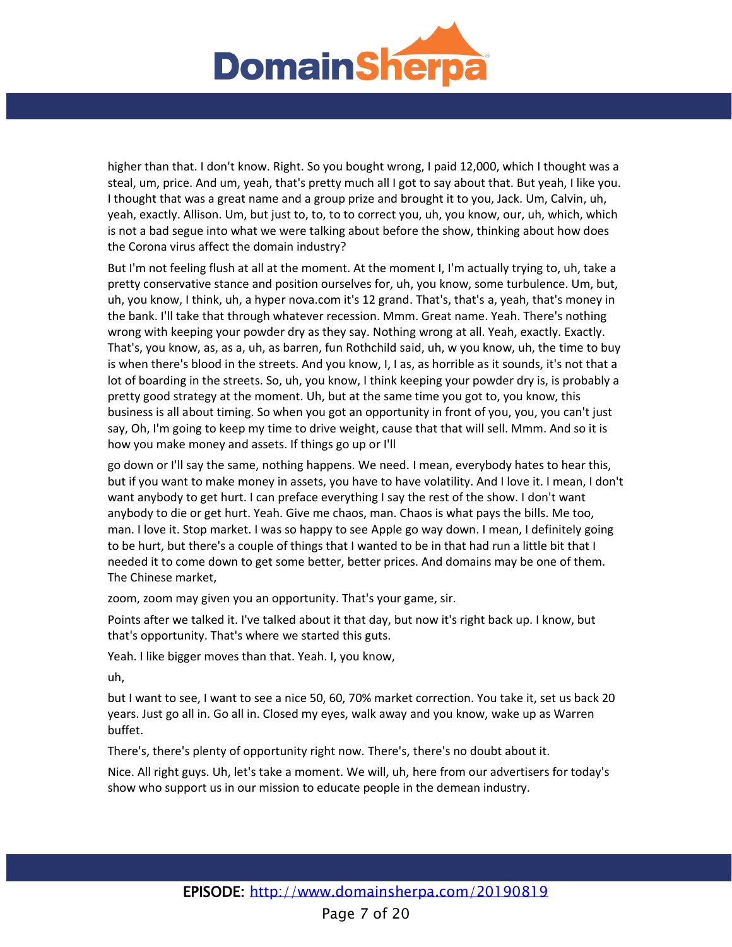

higher than that. I don't know. Right. So you bought wrong, I paid 12,000, which I thought was a steal, um, price. And um, yeah, that's pretty much all I got to say about that. But yeah, I like you. I thought that was a great name and a group prize and brought it to you, Jack. Um, Calvin, uh, yeah, exactly. Allison. Um, but just to, to, to to correct you, uh, you know, our, uh, which, which is not a bad segue into what we were talking about before the show, thinking about how does the Corona virus affect the domain industry?

But I'm not feeling flush at all at the moment. At the moment I, I'm actually trying to, uh, take a pretty conservative stance and position ourselves for, uh, you know, some turbulence. Um, but, uh, you know, I think, uh, a hyper nova.com it's 12 grand. That's, that's a, yeah, that's money in the bank. I'll take that through whatever recession. Mmm. Great name. Yeah. There's nothing wrong with keeping your powder dry as they say. Nothing wrong at all. Yeah, exactly. Exactly. That's, you know, as, as a, uh, as barren, fun Rothchild said, uh, w you know, uh, the time to buy is when there's blood in the streets. And you know, I, I as, as horrible as it sounds, it's not that a lot of boarding in the streets. So, uh, you know, I think keeping your powder dry is, is probably a pretty good strategy at the moment. Uh, but at the same time you got to, you know, this business is all about timing. So when you got an opportunity in front of you, you, you can't just say, Oh, I'm going to keep my time to drive weight, cause that that will sell. Mmm. And so it is how you make money and assets. If things go up or I'll

go down or I'll say the same, nothing happens. We need. I mean, everybody hates to hear this, but if you want to make money in assets, you have to have volatility. And I love it. I mean, I don't want anybody to get hurt. I can preface everything I say the rest of the show. I don't want anybody to die or get hurt. Yeah. Give me chaos, man. Chaos is what pays the bills. Me too, man. I love it. Stop market. I was so happy to see Apple go way down. I mean, I definitely going to be hurt, but there's a couple of things that I wanted to be in that had run a little bit that I needed it to come down to get some better, better prices. And domains may be one of them. The Chinese market,

zoom, zoom may given you an opportunity. That's your game, sir.

Points after we talked it. I've talked about it that day, but now it's right back up. I know, but that's opportunity. That's where we started this guts.

Yeah. I like bigger moves than that. Yeah. I, you know,

uh,

but I want to see, I want to see a nice 50, 60, 70% market correction. You take it, set us back 20 years. Just go all in. Go all in. Closed my eyes, walk away and you know, wake up as Warren buffet.

There's, there's plenty of opportunity right now. There's, there's no doubt about it.

Nice. All right guys. Uh, let's take a moment. We will, uh, here from our advertisers for today's show who support us in our mission to educate people in the demean industry.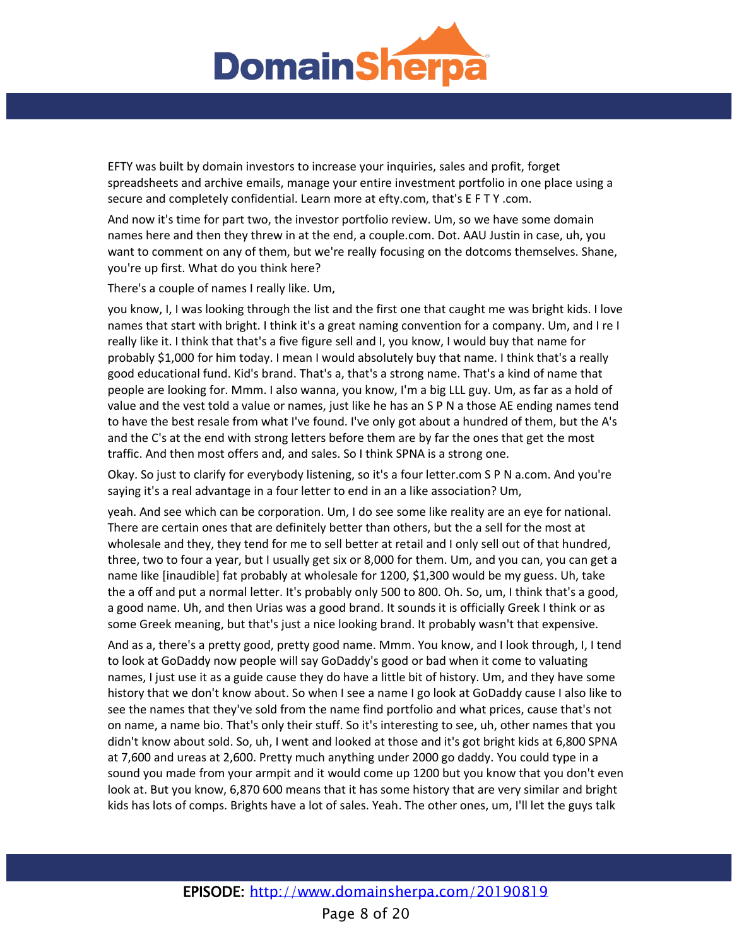

EFTY was built by domain investors to increase your inquiries, sales and profit, forget spreadsheets and archive emails, manage your entire investment portfolio in one place using a secure and completely confidential. Learn more at efty.com, that's E F T Y .com.

And now it's time for part two, the investor portfolio review. Um, so we have some domain names here and then they threw in at the end, a couple.com. Dot. AAU Justin in case, uh, you want to comment on any of them, but we're really focusing on the dotcoms themselves. Shane, you're up first. What do you think here?

There's a couple of names I really like. Um,

you know, I, I was looking through the list and the first one that caught me was bright kids. I love names that start with bright. I think it's a great naming convention for a company. Um, and I re I really like it. I think that that's a five figure sell and I, you know, I would buy that name for probably \$1,000 for him today. I mean I would absolutely buy that name. I think that's a really good educational fund. Kid's brand. That's a, that's a strong name. That's a kind of name that people are looking for. Mmm. I also wanna, you know, I'm a big LLL guy. Um, as far as a hold of value and the vest told a value or names, just like he has an S P N a those AE ending names tend to have the best resale from what I've found. I've only got about a hundred of them, but the A's and the C's at the end with strong letters before them are by far the ones that get the most traffic. And then most offers and, and sales. So I think SPNA is a strong one.

Okay. So just to clarify for everybody listening, so it's a four letter.com S P N a.com. And you're saying it's a real advantage in a four letter to end in an a like association? Um,

yeah. And see which can be corporation. Um, I do see some like reality are an eye for national. There are certain ones that are definitely better than others, but the a sell for the most at wholesale and they, they tend for me to sell better at retail and I only sell out of that hundred, three, two to four a year, but I usually get six or 8,000 for them. Um, and you can, you can get a name like [inaudible] fat probably at wholesale for 1200, \$1,300 would be my guess. Uh, take the a off and put a normal letter. It's probably only 500 to 800. Oh. So, um, I think that's a good, a good name. Uh, and then Urias was a good brand. It sounds it is officially Greek I think or as some Greek meaning, but that's just a nice looking brand. It probably wasn't that expensive.

And as a, there's a pretty good, pretty good name. Mmm. You know, and I look through, I, I tend to look at GoDaddy now people will say GoDaddy's good or bad when it come to valuating names, I just use it as a guide cause they do have a little bit of history. Um, and they have some history that we don't know about. So when I see a name I go look at GoDaddy cause I also like to see the names that they've sold from the name find portfolio and what prices, cause that's not on name, a name bio. That's only their stuff. So it's interesting to see, uh, other names that you didn't know about sold. So, uh, I went and looked at those and it's got bright kids at 6,800 SPNA at 7,600 and ureas at 2,600. Pretty much anything under 2000 go daddy. You could type in a sound you made from your armpit and it would come up 1200 but you know that you don't even look at. But you know, 6,870 600 means that it has some history that are very similar and bright kids has lots of comps. Brights have a lot of sales. Yeah. The other ones, um, I'll let the guys talk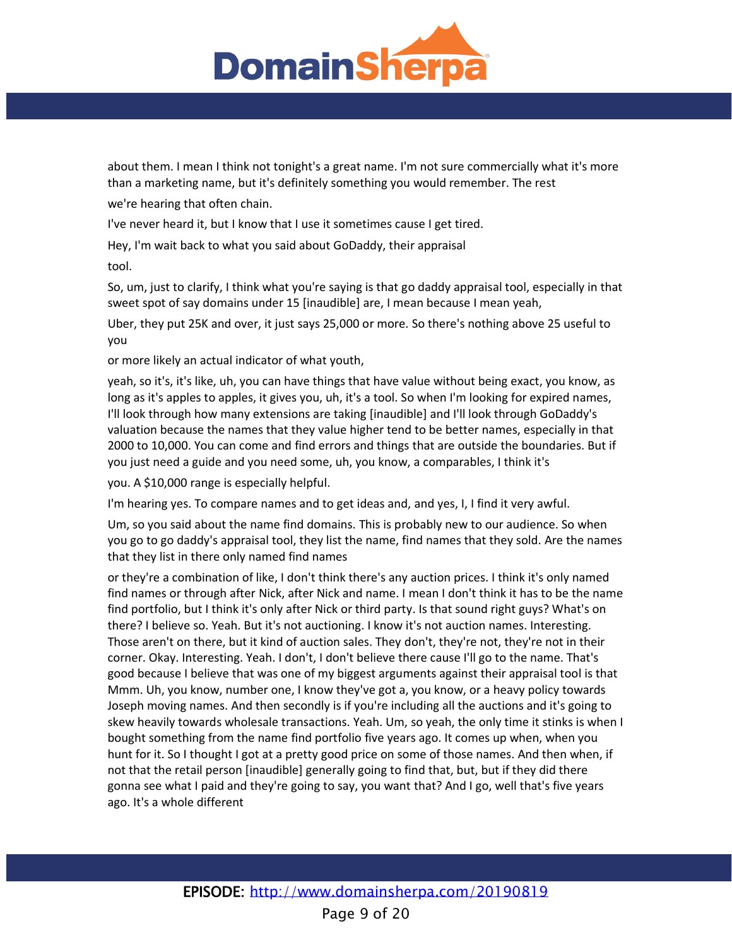

about them. I mean I think not tonight's a great name. I'm not sure commercially what it's more than a marketing name, but it's definitely something you would remember. The rest

we're hearing that often chain.

I've never heard it, but I know that I use it sometimes cause I get tired.

Hey, I'm wait back to what you said about GoDaddy, their appraisal

tool.

So, um, just to clarify, I think what you're saying is that go daddy appraisal tool, especially in that sweet spot of say domains under 15 [inaudible] are, I mean because I mean yeah,

Uber, they put 25K and over, it just says 25,000 or more. So there's nothing above 25 useful to you

or more likely an actual indicator of what youth,

yeah, so it's, it's like, uh, you can have things that have value without being exact, you know, as long as it's apples to apples, it gives you, uh, it's a tool. So when I'm looking for expired names, I'll look through how many extensions are taking [inaudible] and I'll look through GoDaddy's valuation because the names that they value higher tend to be better names, especially in that 2000 to 10,000. You can come and find errors and things that are outside the boundaries. But if you just need a guide and you need some, uh, you know, a comparables, I think it's

you. A \$10,000 range is especially helpful.

I'm hearing yes. To compare names and to get ideas and, and yes, I, I find it very awful.

Um, so you said about the name find domains. This is probably new to our audience. So when you go to go daddy's appraisal tool, they list the name, find names that they sold. Are the names that they list in there only named find names

or they're a combination of like, I don't think there's any auction prices. I think it's only named find names or through after Nick, after Nick and name. I mean I don't think it has to be the name find portfolio, but I think it's only after Nick or third party. Is that sound right guys? What's on there? I believe so. Yeah. But it's not auctioning. I know it's not auction names. Interesting. Those aren't on there, but it kind of auction sales. They don't, they're not, they're not in their corner. Okay. Interesting. Yeah. I don't, I don't believe there cause I'll go to the name. That's good because I believe that was one of my biggest arguments against their appraisal tool is that Mmm. Uh, you know, number one, I know they've got a, you know, or a heavy policy towards Joseph moving names. And then secondly is if you're including all the auctions and it's going to skew heavily towards wholesale transactions. Yeah. Um, so yeah, the only time it stinks is when I bought something from the name find portfolio five years ago. It comes up when, when you hunt for it. So I thought I got at a pretty good price on some of those names. And then when, if not that the retail person [inaudible] generally going to find that, but, but if they did there gonna see what I paid and they're going to say, you want that? And I go, well that's five years ago. It's a whole different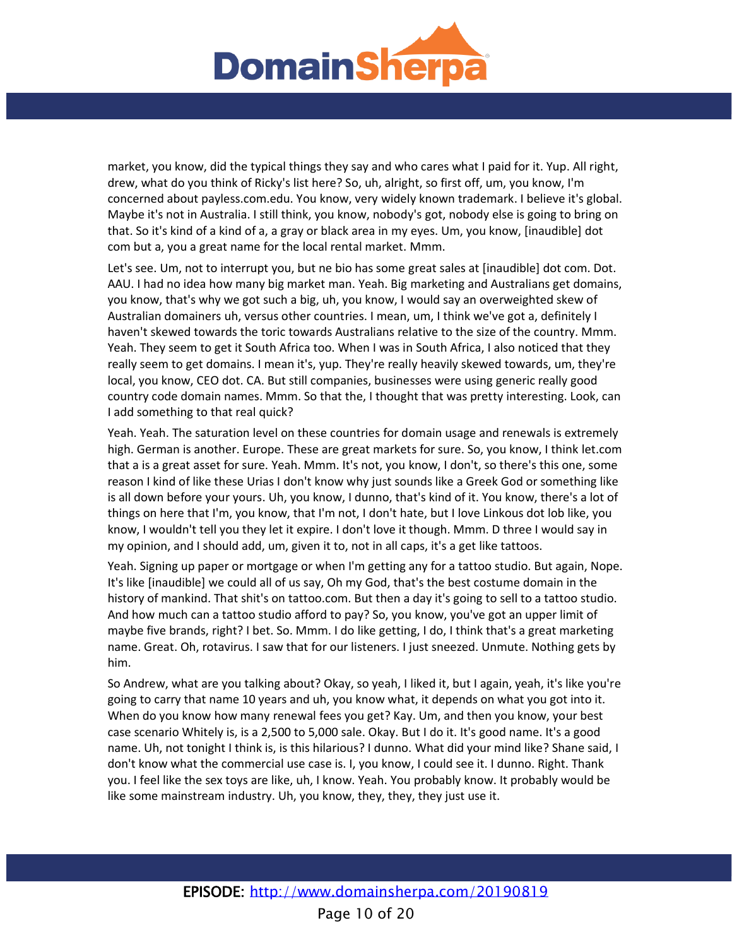

market, you know, did the typical things they say and who cares what I paid for it. Yup. All right, drew, what do you think of Ricky's list here? So, uh, alright, so first off, um, you know, I'm concerned about payless.com.edu. You know, very widely known trademark. I believe it's global. Maybe it's not in Australia. I still think, you know, nobody's got, nobody else is going to bring on that. So it's kind of a kind of a, a gray or black area in my eyes. Um, you know, [inaudible] dot com but a, you a great name for the local rental market. Mmm.

Let's see. Um, not to interrupt you, but ne bio has some great sales at [inaudible] dot com. Dot. AAU. I had no idea how many big market man. Yeah. Big marketing and Australians get domains, you know, that's why we got such a big, uh, you know, I would say an overweighted skew of Australian domainers uh, versus other countries. I mean, um, I think we've got a, definitely I haven't skewed towards the toric towards Australians relative to the size of the country. Mmm. Yeah. They seem to get it South Africa too. When I was in South Africa, I also noticed that they really seem to get domains. I mean it's, yup. They're really heavily skewed towards, um, they're local, you know, CEO dot. CA. But still companies, businesses were using generic really good country code domain names. Mmm. So that the, I thought that was pretty interesting. Look, can I add something to that real quick?

Yeah. Yeah. The saturation level on these countries for domain usage and renewals is extremely high. German is another. Europe. These are great markets for sure. So, you know, I think let.com that a is a great asset for sure. Yeah. Mmm. It's not, you know, I don't, so there's this one, some reason I kind of like these Urias I don't know why just sounds like a Greek God or something like is all down before your yours. Uh, you know, I dunno, that's kind of it. You know, there's a lot of things on here that I'm, you know, that I'm not, I don't hate, but I love Linkous dot lob like, you know, I wouldn't tell you they let it expire. I don't love it though. Mmm. D three I would say in my opinion, and I should add, um, given it to, not in all caps, it's a get like tattoos.

Yeah. Signing up paper or mortgage or when I'm getting any for a tattoo studio. But again, Nope. It's like [inaudible] we could all of us say, Oh my God, that's the best costume domain in the history of mankind. That shit's on tattoo.com. But then a day it's going to sell to a tattoo studio. And how much can a tattoo studio afford to pay? So, you know, you've got an upper limit of maybe five brands, right? I bet. So. Mmm. I do like getting, I do, I think that's a great marketing name. Great. Oh, rotavirus. I saw that for our listeners. I just sneezed. Unmute. Nothing gets by him.

So Andrew, what are you talking about? Okay, so yeah, I liked it, but I again, yeah, it's like you're going to carry that name 10 years and uh, you know what, it depends on what you got into it. When do you know how many renewal fees you get? Kay. Um, and then you know, your best case scenario Whitely is, is a 2,500 to 5,000 sale. Okay. But I do it. It's good name. It's a good name. Uh, not tonight I think is, is this hilarious? I dunno. What did your mind like? Shane said, I don't know what the commercial use case is. I, you know, I could see it. I dunno. Right. Thank you. I feel like the sex toys are like, uh, I know. Yeah. You probably know. It probably would be like some mainstream industry. Uh, you know, they, they, they just use it.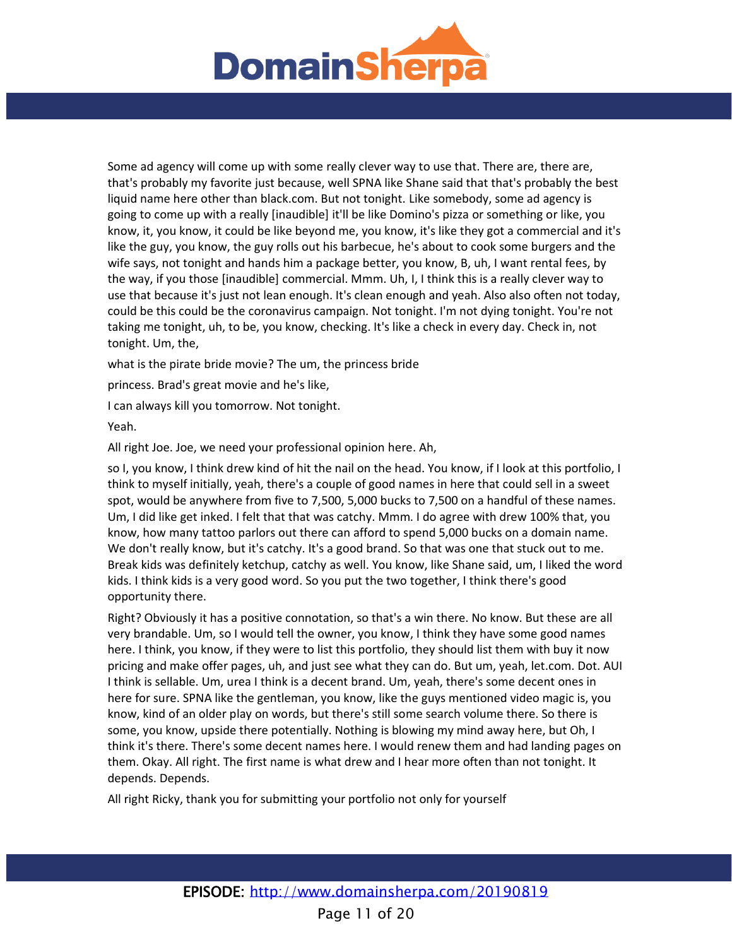

Some ad agency will come up with some really clever way to use that. There are, there are, that's probably my favorite just because, well SPNA like Shane said that that's probably the best liquid name here other than black.com. But not tonight. Like somebody, some ad agency is going to come up with a really [inaudible] it'll be like Domino's pizza or something or like, you know, it, you know, it could be like beyond me, you know, it's like they got a commercial and it's like the guy, you know, the guy rolls out his barbecue, he's about to cook some burgers and the wife says, not tonight and hands him a package better, you know, B, uh, I want rental fees, by the way, if you those [inaudible] commercial. Mmm. Uh, I, I think this is a really clever way to use that because it's just not lean enough. It's clean enough and yeah. Also also often not today, could be this could be the coronavirus campaign. Not tonight. I'm not dying tonight. You're not taking me tonight, uh, to be, you know, checking. It's like a check in every day. Check in, not tonight. Um, the,

what is the pirate bride movie? The um, the princess bride

princess. Brad's great movie and he's like,

I can always kill you tomorrow. Not tonight.

Yeah.

All right Joe. Joe, we need your professional opinion here. Ah,

so I, you know, I think drew kind of hit the nail on the head. You know, if I look at this portfolio, I think to myself initially, yeah, there's a couple of good names in here that could sell in a sweet spot, would be anywhere from five to 7,500, 5,000 bucks to 7,500 on a handful of these names. Um, I did like get inked. I felt that that was catchy. Mmm. I do agree with drew 100% that, you know, how many tattoo parlors out there can afford to spend 5,000 bucks on a domain name. We don't really know, but it's catchy. It's a good brand. So that was one that stuck out to me. Break kids was definitely ketchup, catchy as well. You know, like Shane said, um, I liked the word kids. I think kids is a very good word. So you put the two together, I think there's good opportunity there.

Right? Obviously it has a positive connotation, so that's a win there. No know. But these are all very brandable. Um, so I would tell the owner, you know, I think they have some good names here. I think, you know, if they were to list this portfolio, they should list them with buy it now pricing and make offer pages, uh, and just see what they can do. But um, yeah, let.com. Dot. AUI I think is sellable. Um, urea I think is a decent brand. Um, yeah, there's some decent ones in here for sure. SPNA like the gentleman, you know, like the guys mentioned video magic is, you know, kind of an older play on words, but there's still some search volume there. So there is some, you know, upside there potentially. Nothing is blowing my mind away here, but Oh, I think it's there. There's some decent names here. I would renew them and had landing pages on them. Okay. All right. The first name is what drew and I hear more often than not tonight. It depends. Depends.

All right Ricky, thank you for submitting your portfolio not only for yourself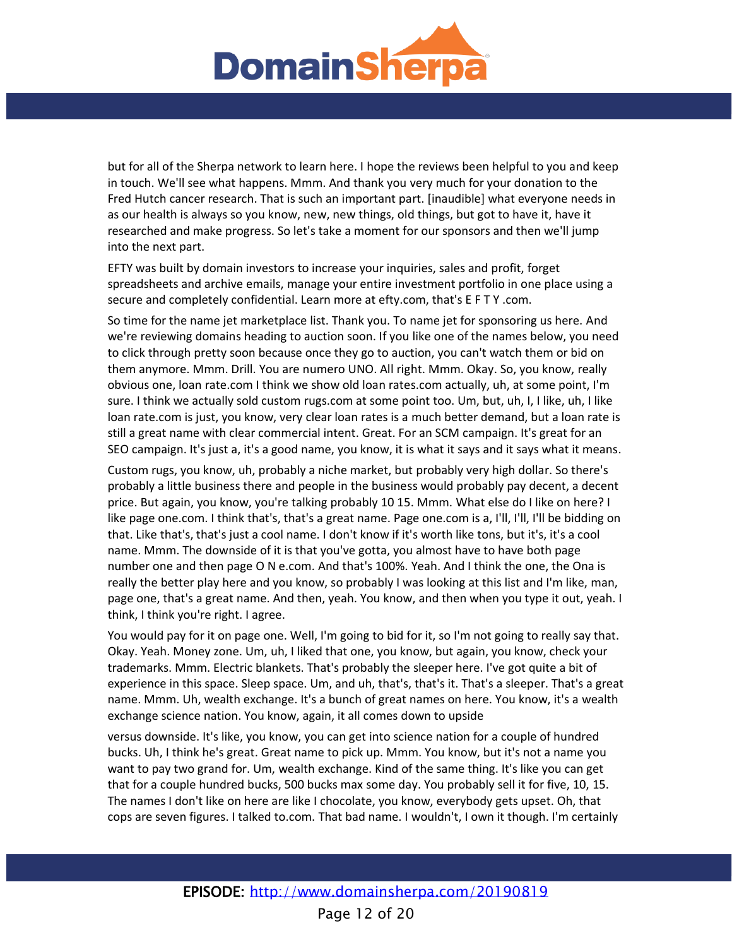

but for all of the Sherpa network to learn here. I hope the reviews been helpful to you and keep in touch. We'll see what happens. Mmm. And thank you very much for your donation to the Fred Hutch cancer research. That is such an important part. [inaudible] what everyone needs in as our health is always so you know, new, new things, old things, but got to have it, have it researched and make progress. So let's take a moment for our sponsors and then we'll jump into the next part.

EFTY was built by domain investors to increase your inquiries, sales and profit, forget spreadsheets and archive emails, manage your entire investment portfolio in one place using a secure and completely confidential. Learn more at efty.com, that's E F T Y .com.

So time for the name jet marketplace list. Thank you. To name jet for sponsoring us here. And we're reviewing domains heading to auction soon. If you like one of the names below, you need to click through pretty soon because once they go to auction, you can't watch them or bid on them anymore. Mmm. Drill. You are numero UNO. All right. Mmm. Okay. So, you know, really obvious one, loan rate.com I think we show old loan rates.com actually, uh, at some point, I'm sure. I think we actually sold custom rugs.com at some point too. Um, but, uh, I, I like, uh, I like loan rate.com is just, you know, very clear loan rates is a much better demand, but a loan rate is still a great name with clear commercial intent. Great. For an SCM campaign. It's great for an SEO campaign. It's just a, it's a good name, you know, it is what it says and it says what it means.

Custom rugs, you know, uh, probably a niche market, but probably very high dollar. So there's probably a little business there and people in the business would probably pay decent, a decent price. But again, you know, you're talking probably 10 15. Mmm. What else do I like on here? I like page one.com. I think that's, that's a great name. Page one.com is a, I'll, I'll, I'll be bidding on that. Like that's, that's just a cool name. I don't know if it's worth like tons, but it's, it's a cool name. Mmm. The downside of it is that you've gotta, you almost have to have both page number one and then page O N e.com. And that's 100%. Yeah. And I think the one, the Ona is really the better play here and you know, so probably I was looking at this list and I'm like, man, page one, that's a great name. And then, yeah. You know, and then when you type it out, yeah. I think, I think you're right. I agree.

You would pay for it on page one. Well, I'm going to bid for it, so I'm not going to really say that. Okay. Yeah. Money zone. Um, uh, I liked that one, you know, but again, you know, check your trademarks. Mmm. Electric blankets. That's probably the sleeper here. I've got quite a bit of experience in this space. Sleep space. Um, and uh, that's, that's it. That's a sleeper. That's a great name. Mmm. Uh, wealth exchange. It's a bunch of great names on here. You know, it's a wealth exchange science nation. You know, again, it all comes down to upside

versus downside. It's like, you know, you can get into science nation for a couple of hundred bucks. Uh, I think he's great. Great name to pick up. Mmm. You know, but it's not a name you want to pay two grand for. Um, wealth exchange. Kind of the same thing. It's like you can get that for a couple hundred bucks, 500 bucks max some day. You probably sell it for five, 10, 15. The names I don't like on here are like I chocolate, you know, everybody gets upset. Oh, that cops are seven figures. I talked to.com. That bad name. I wouldn't, I own it though. I'm certainly

Page 12 of 20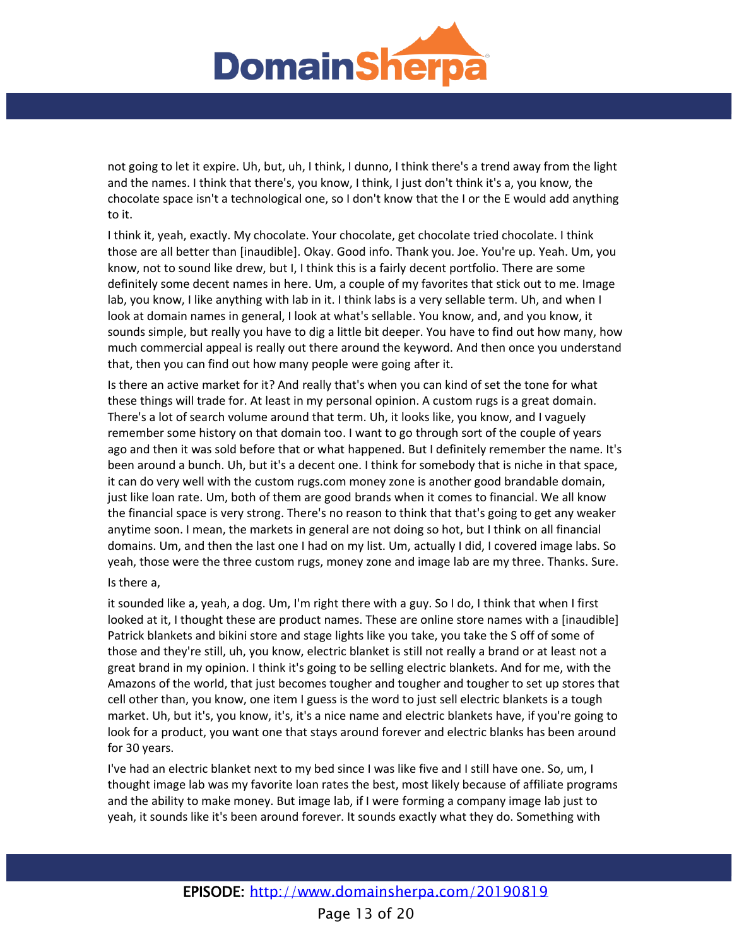

not going to let it expire. Uh, but, uh, I think, I dunno, I think there's a trend away from the light and the names. I think that there's, you know, I think, I just don't think it's a, you know, the chocolate space isn't a technological one, so I don't know that the I or the E would add anything to it.

I think it, yeah, exactly. My chocolate. Your chocolate, get chocolate tried chocolate. I think those are all better than [inaudible]. Okay. Good info. Thank you. Joe. You're up. Yeah. Um, you know, not to sound like drew, but I, I think this is a fairly decent portfolio. There are some definitely some decent names in here. Um, a couple of my favorites that stick out to me. Image lab, you know, I like anything with lab in it. I think labs is a very sellable term. Uh, and when I look at domain names in general, I look at what's sellable. You know, and, and you know, it sounds simple, but really you have to dig a little bit deeper. You have to find out how many, how much commercial appeal is really out there around the keyword. And then once you understand that, then you can find out how many people were going after it.

Is there an active market for it? And really that's when you can kind of set the tone for what these things will trade for. At least in my personal opinion. A custom rugs is a great domain. There's a lot of search volume around that term. Uh, it looks like, you know, and I vaguely remember some history on that domain too. I want to go through sort of the couple of years ago and then it was sold before that or what happened. But I definitely remember the name. It's been around a bunch. Uh, but it's a decent one. I think for somebody that is niche in that space, it can do very well with the custom rugs.com money zone is another good brandable domain, just like loan rate. Um, both of them are good brands when it comes to financial. We all know the financial space is very strong. There's no reason to think that that's going to get any weaker anytime soon. I mean, the markets in general are not doing so hot, but I think on all financial domains. Um, and then the last one I had on my list. Um, actually I did, I covered image labs. So yeah, those were the three custom rugs, money zone and image lab are my three. Thanks. Sure.

### Is there a,

it sounded like a, yeah, a dog. Um, I'm right there with a guy. So I do, I think that when I first looked at it, I thought these are product names. These are online store names with a [inaudible] Patrick blankets and bikini store and stage lights like you take, you take the S off of some of those and they're still, uh, you know, electric blanket is still not really a brand or at least not a great brand in my opinion. I think it's going to be selling electric blankets. And for me, with the Amazons of the world, that just becomes tougher and tougher and tougher to set up stores that cell other than, you know, one item I guess is the word to just sell electric blankets is a tough market. Uh, but it's, you know, it's, it's a nice name and electric blankets have, if you're going to look for a product, you want one that stays around forever and electric blanks has been around for 30 years.

I've had an electric blanket next to my bed since I was like five and I still have one. So, um, I thought image lab was my favorite loan rates the best, most likely because of affiliate programs and the ability to make money. But image lab, if I were forming a company image lab just to yeah, it sounds like it's been around forever. It sounds exactly what they do. Something with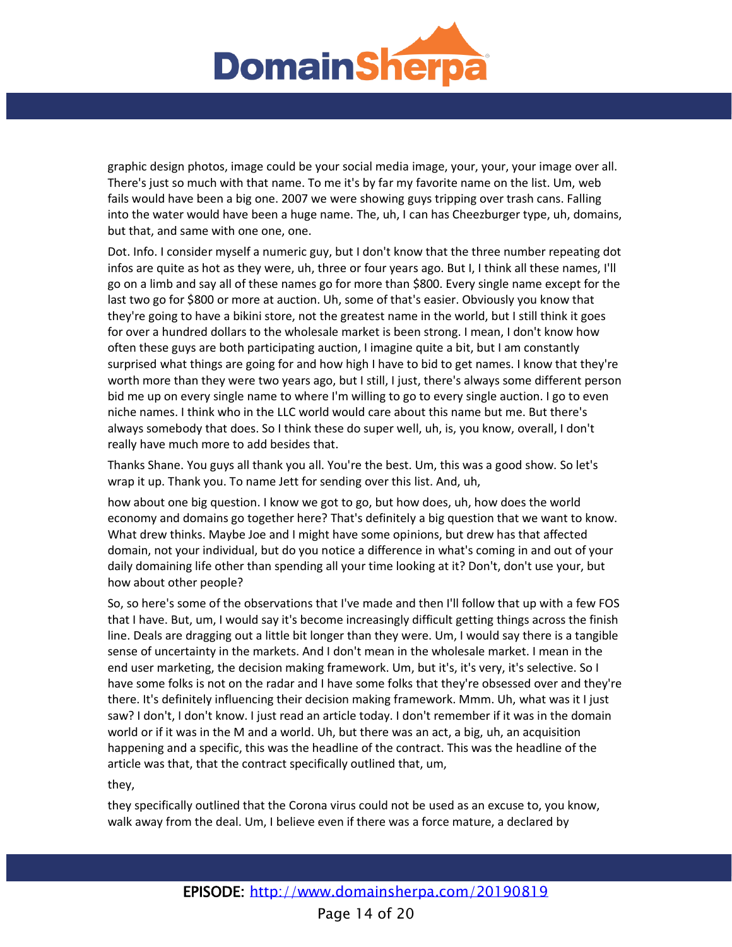

graphic design photos, image could be your social media image, your, your, your image over all. There's just so much with that name. To me it's by far my favorite name on the list. Um, web fails would have been a big one. 2007 we were showing guys tripping over trash cans. Falling into the water would have been a huge name. The, uh, I can has Cheezburger type, uh, domains, but that, and same with one one, one.

Dot. Info. I consider myself a numeric guy, but I don't know that the three number repeating dot infos are quite as hot as they were, uh, three or four years ago. But I, I think all these names, I'll go on a limb and say all of these names go for more than \$800. Every single name except for the last two go for \$800 or more at auction. Uh, some of that's easier. Obviously you know that they're going to have a bikini store, not the greatest name in the world, but I still think it goes for over a hundred dollars to the wholesale market is been strong. I mean, I don't know how often these guys are both participating auction, I imagine quite a bit, but I am constantly surprised what things are going for and how high I have to bid to get names. I know that they're worth more than they were two years ago, but I still, I just, there's always some different person bid me up on every single name to where I'm willing to go to every single auction. I go to even niche names. I think who in the LLC world would care about this name but me. But there's always somebody that does. So I think these do super well, uh, is, you know, overall, I don't really have much more to add besides that.

Thanks Shane. You guys all thank you all. You're the best. Um, this was a good show. So let's wrap it up. Thank you. To name Jett for sending over this list. And, uh,

how about one big question. I know we got to go, but how does, uh, how does the world economy and domains go together here? That's definitely a big question that we want to know. What drew thinks. Maybe Joe and I might have some opinions, but drew has that affected domain, not your individual, but do you notice a difference in what's coming in and out of your daily domaining life other than spending all your time looking at it? Don't, don't use your, but how about other people?

So, so here's some of the observations that I've made and then I'll follow that up with a few FOS that I have. But, um, I would say it's become increasingly difficult getting things across the finish line. Deals are dragging out a little bit longer than they were. Um, I would say there is a tangible sense of uncertainty in the markets. And I don't mean in the wholesale market. I mean in the end user marketing, the decision making framework. Um, but it's, it's very, it's selective. So I have some folks is not on the radar and I have some folks that they're obsessed over and they're there. It's definitely influencing their decision making framework. Mmm. Uh, what was it I just saw? I don't, I don't know. I just read an article today. I don't remember if it was in the domain world or if it was in the M and a world. Uh, but there was an act, a big, uh, an acquisition happening and a specific, this was the headline of the contract. This was the headline of the article was that, that the contract specifically outlined that, um,

they,

they specifically outlined that the Corona virus could not be used as an excuse to, you know, walk away from the deal. Um, I believe even if there was a force mature, a declared by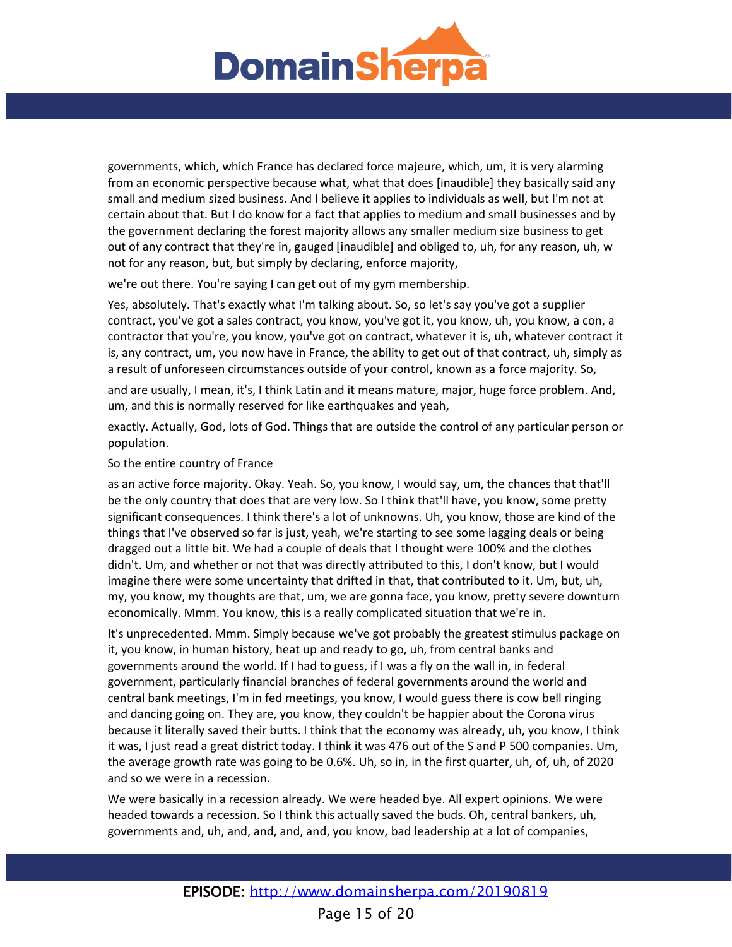

governments, which, which France has declared force majeure, which, um, it is very alarming from an economic perspective because what, what that does [inaudible] they basically said any small and medium sized business. And I believe it applies to individuals as well, but I'm not at certain about that. But I do know for a fact that applies to medium and small businesses and by the government declaring the forest majority allows any smaller medium size business to get out of any contract that they're in, gauged [inaudible] and obliged to, uh, for any reason, uh, w not for any reason, but, but simply by declaring, enforce majority,

we're out there. You're saying I can get out of my gym membership.

Yes, absolutely. That's exactly what I'm talking about. So, so let's say you've got a supplier contract, you've got a sales contract, you know, you've got it, you know, uh, you know, a con, a contractor that you're, you know, you've got on contract, whatever it is, uh, whatever contract it is, any contract, um, you now have in France, the ability to get out of that contract, uh, simply as a result of unforeseen circumstances outside of your control, known as a force majority. So,

and are usually, I mean, it's, I think Latin and it means mature, major, huge force problem. And, um, and this is normally reserved for like earthquakes and yeah,

exactly. Actually, God, lots of God. Things that are outside the control of any particular person or population.

# So the entire country of France

as an active force majority. Okay. Yeah. So, you know, I would say, um, the chances that that'll be the only country that does that are very low. So I think that'll have, you know, some pretty significant consequences. I think there's a lot of unknowns. Uh, you know, those are kind of the things that I've observed so far is just, yeah, we're starting to see some lagging deals or being dragged out a little bit. We had a couple of deals that I thought were 100% and the clothes didn't. Um, and whether or not that was directly attributed to this, I don't know, but I would imagine there were some uncertainty that drifted in that, that contributed to it. Um, but, uh, my, you know, my thoughts are that, um, we are gonna face, you know, pretty severe downturn economically. Mmm. You know, this is a really complicated situation that we're in.

It's unprecedented. Mmm. Simply because we've got probably the greatest stimulus package on it, you know, in human history, heat up and ready to go, uh, from central banks and governments around the world. If I had to guess, if I was a fly on the wall in, in federal government, particularly financial branches of federal governments around the world and central bank meetings, I'm in fed meetings, you know, I would guess there is cow bell ringing and dancing going on. They are, you know, they couldn't be happier about the Corona virus because it literally saved their butts. I think that the economy was already, uh, you know, I think it was, I just read a great district today. I think it was 476 out of the S and P 500 companies. Um, the average growth rate was going to be 0.6%. Uh, so in, in the first quarter, uh, of, uh, of 2020 and so we were in a recession.

We were basically in a recession already. We were headed bye. All expert opinions. We were headed towards a recession. So I think this actually saved the buds. Oh, central bankers, uh, governments and, uh, and, and, and, and, you know, bad leadership at a lot of companies,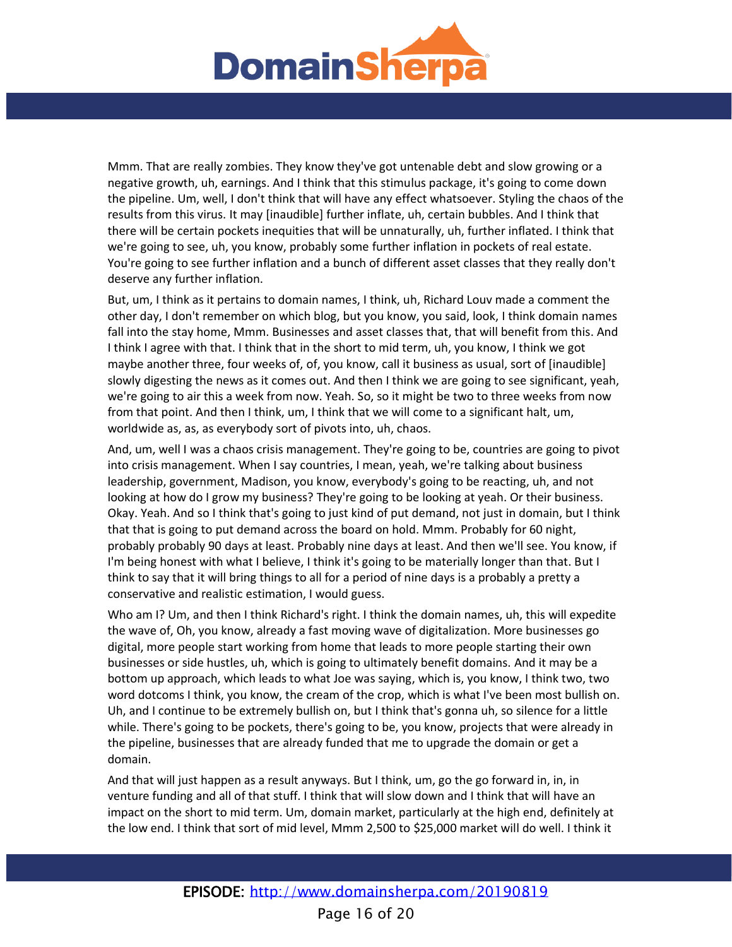

Mmm. That are really zombies. They know they've got untenable debt and slow growing or a negative growth, uh, earnings. And I think that this stimulus package, it's going to come down the pipeline. Um, well, I don't think that will have any effect whatsoever. Styling the chaos of the results from this virus. It may [inaudible] further inflate, uh, certain bubbles. And I think that there will be certain pockets inequities that will be unnaturally, uh, further inflated. I think that we're going to see, uh, you know, probably some further inflation in pockets of real estate. You're going to see further inflation and a bunch of different asset classes that they really don't deserve any further inflation.

But, um, I think as it pertains to domain names, I think, uh, Richard Louv made a comment the other day, I don't remember on which blog, but you know, you said, look, I think domain names fall into the stay home, Mmm. Businesses and asset classes that, that will benefit from this. And I think I agree with that. I think that in the short to mid term, uh, you know, I think we got maybe another three, four weeks of, of, you know, call it business as usual, sort of [inaudible] slowly digesting the news as it comes out. And then I think we are going to see significant, yeah, we're going to air this a week from now. Yeah. So, so it might be two to three weeks from now from that point. And then I think, um, I think that we will come to a significant halt, um, worldwide as, as, as everybody sort of pivots into, uh, chaos.

And, um, well I was a chaos crisis management. They're going to be, countries are going to pivot into crisis management. When I say countries, I mean, yeah, we're talking about business leadership, government, Madison, you know, everybody's going to be reacting, uh, and not looking at how do I grow my business? They're going to be looking at yeah. Or their business. Okay. Yeah. And so I think that's going to just kind of put demand, not just in domain, but I think that that is going to put demand across the board on hold. Mmm. Probably for 60 night, probably probably 90 days at least. Probably nine days at least. And then we'll see. You know, if I'm being honest with what I believe, I think it's going to be materially longer than that. But I think to say that it will bring things to all for a period of nine days is a probably a pretty a conservative and realistic estimation, I would guess.

Who am I? Um, and then I think Richard's right. I think the domain names, uh, this will expedite the wave of, Oh, you know, already a fast moving wave of digitalization. More businesses go digital, more people start working from home that leads to more people starting their own businesses or side hustles, uh, which is going to ultimately benefit domains. And it may be a bottom up approach, which leads to what Joe was saying, which is, you know, I think two, two word dotcoms I think, you know, the cream of the crop, which is what I've been most bullish on. Uh, and I continue to be extremely bullish on, but I think that's gonna uh, so silence for a little while. There's going to be pockets, there's going to be, you know, projects that were already in the pipeline, businesses that are already funded that me to upgrade the domain or get a domain.

And that will just happen as a result anyways. But I think, um, go the go forward in, in, in venture funding and all of that stuff. I think that will slow down and I think that will have an impact on the short to mid term. Um, domain market, particularly at the high end, definitely at the low end. I think that sort of mid level, Mmm 2,500 to \$25,000 market will do well. I think it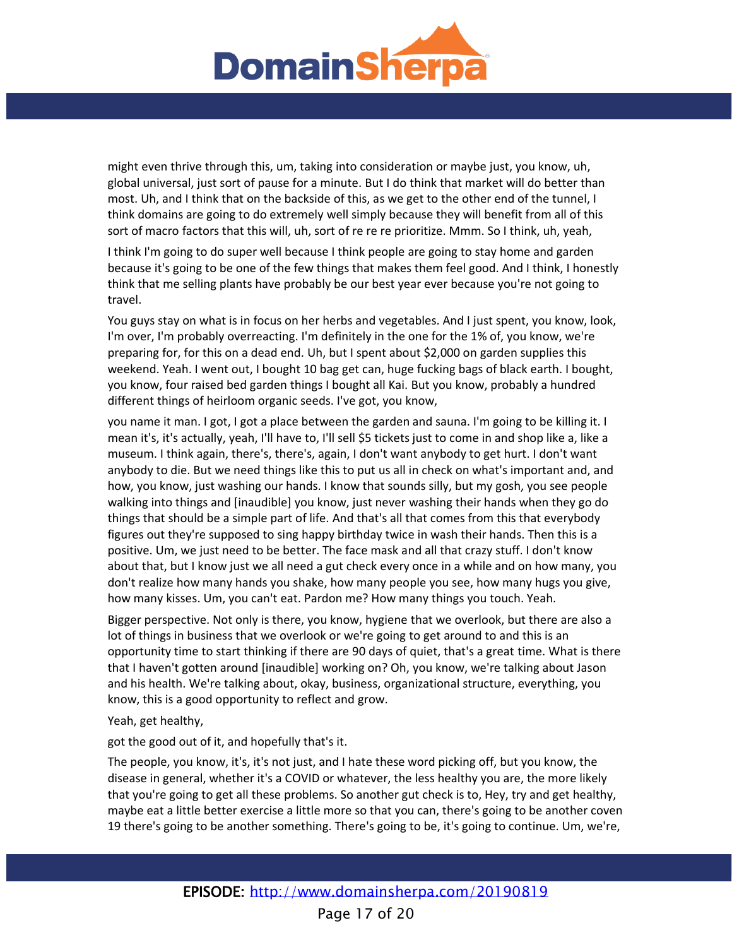

might even thrive through this, um, taking into consideration or maybe just, you know, uh, global universal, just sort of pause for a minute. But I do think that market will do better than most. Uh, and I think that on the backside of this, as we get to the other end of the tunnel, I think domains are going to do extremely well simply because they will benefit from all of this sort of macro factors that this will, uh, sort of re re re prioritize. Mmm. So I think, uh, yeah,

I think I'm going to do super well because I think people are going to stay home and garden because it's going to be one of the few things that makes them feel good. And I think, I honestly think that me selling plants have probably be our best year ever because you're not going to travel.

You guys stay on what is in focus on her herbs and vegetables. And I just spent, you know, look, I'm over, I'm probably overreacting. I'm definitely in the one for the 1% of, you know, we're preparing for, for this on a dead end. Uh, but I spent about \$2,000 on garden supplies this weekend. Yeah. I went out, I bought 10 bag get can, huge fucking bags of black earth. I bought, you know, four raised bed garden things I bought all Kai. But you know, probably a hundred different things of heirloom organic seeds. I've got, you know,

you name it man. I got, I got a place between the garden and sauna. I'm going to be killing it. I mean it's, it's actually, yeah, I'll have to, I'll sell \$5 tickets just to come in and shop like a, like a museum. I think again, there's, there's, again, I don't want anybody to get hurt. I don't want anybody to die. But we need things like this to put us all in check on what's important and, and how, you know, just washing our hands. I know that sounds silly, but my gosh, you see people walking into things and [inaudible] you know, just never washing their hands when they go do things that should be a simple part of life. And that's all that comes from this that everybody figures out they're supposed to sing happy birthday twice in wash their hands. Then this is a positive. Um, we just need to be better. The face mask and all that crazy stuff. I don't know about that, but I know just we all need a gut check every once in a while and on how many, you don't realize how many hands you shake, how many people you see, how many hugs you give, how many kisses. Um, you can't eat. Pardon me? How many things you touch. Yeah.

Bigger perspective. Not only is there, you know, hygiene that we overlook, but there are also a lot of things in business that we overlook or we're going to get around to and this is an opportunity time to start thinking if there are 90 days of quiet, that's a great time. What is there that I haven't gotten around [inaudible] working on? Oh, you know, we're talking about Jason and his health. We're talking about, okay, business, organizational structure, everything, you know, this is a good opportunity to reflect and grow.

Yeah, get healthy,

got the good out of it, and hopefully that's it.

The people, you know, it's, it's not just, and I hate these word picking off, but you know, the disease in general, whether it's a COVID or whatever, the less healthy you are, the more likely that you're going to get all these problems. So another gut check is to, Hey, try and get healthy, maybe eat a little better exercise a little more so that you can, there's going to be another coven 19 there's going to be another something. There's going to be, it's going to continue. Um, we're,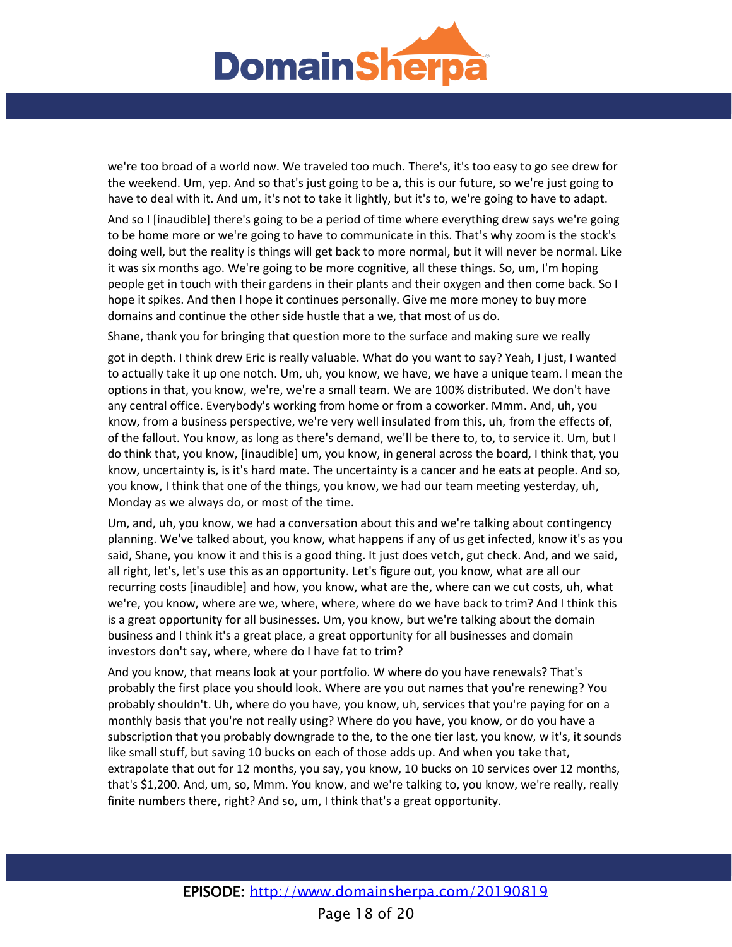

we're too broad of a world now. We traveled too much. There's, it's too easy to go see drew for the weekend. Um, yep. And so that's just going to be a, this is our future, so we're just going to have to deal with it. And um, it's not to take it lightly, but it's to, we're going to have to adapt.

And so I [inaudible] there's going to be a period of time where everything drew says we're going to be home more or we're going to have to communicate in this. That's why zoom is the stock's doing well, but the reality is things will get back to more normal, but it will never be normal. Like it was six months ago. We're going to be more cognitive, all these things. So, um, I'm hoping people get in touch with their gardens in their plants and their oxygen and then come back. So I hope it spikes. And then I hope it continues personally. Give me more money to buy more domains and continue the other side hustle that a we, that most of us do.

Shane, thank you for bringing that question more to the surface and making sure we really

got in depth. I think drew Eric is really valuable. What do you want to say? Yeah, I just, I wanted to actually take it up one notch. Um, uh, you know, we have, we have a unique team. I mean the options in that, you know, we're, we're a small team. We are 100% distributed. We don't have any central office. Everybody's working from home or from a coworker. Mmm. And, uh, you know, from a business perspective, we're very well insulated from this, uh, from the effects of, of the fallout. You know, as long as there's demand, we'll be there to, to, to service it. Um, but I do think that, you know, [inaudible] um, you know, in general across the board, I think that, you know, uncertainty is, is it's hard mate. The uncertainty is a cancer and he eats at people. And so, you know, I think that one of the things, you know, we had our team meeting yesterday, uh, Monday as we always do, or most of the time.

Um, and, uh, you know, we had a conversation about this and we're talking about contingency planning. We've talked about, you know, what happens if any of us get infected, know it's as you said, Shane, you know it and this is a good thing. It just does vetch, gut check. And, and we said, all right, let's, let's use this as an opportunity. Let's figure out, you know, what are all our recurring costs [inaudible] and how, you know, what are the, where can we cut costs, uh, what we're, you know, where are we, where, where, where do we have back to trim? And I think this is a great opportunity for all businesses. Um, you know, but we're talking about the domain business and I think it's a great place, a great opportunity for all businesses and domain investors don't say, where, where do I have fat to trim?

And you know, that means look at your portfolio. W where do you have renewals? That's probably the first place you should look. Where are you out names that you're renewing? You probably shouldn't. Uh, where do you have, you know, uh, services that you're paying for on a monthly basis that you're not really using? Where do you have, you know, or do you have a subscription that you probably downgrade to the, to the one tier last, you know, w it's, it sounds like small stuff, but saving 10 bucks on each of those adds up. And when you take that, extrapolate that out for 12 months, you say, you know, 10 bucks on 10 services over 12 months, that's \$1,200. And, um, so, Mmm. You know, and we're talking to, you know, we're really, really finite numbers there, right? And so, um, I think that's a great opportunity.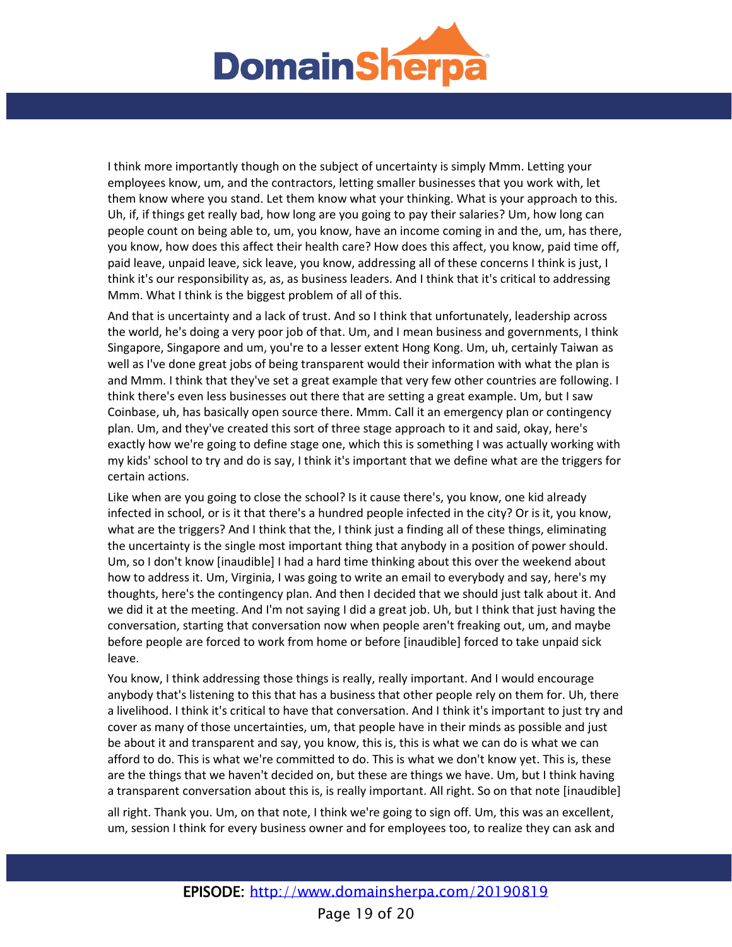

I think more importantly though on the subject of uncertainty is simply Mmm. Letting your employees know, um, and the contractors, letting smaller businesses that you work with, let them know where you stand. Let them know what your thinking. What is your approach to this. Uh, if, if things get really bad, how long are you going to pay their salaries? Um, how long can people count on being able to, um, you know, have an income coming in and the, um, has there, you know, how does this affect their health care? How does this affect, you know, paid time off, paid leave, unpaid leave, sick leave, you know, addressing all of these concerns I think is just, I think it's our responsibility as, as, as business leaders. And I think that it's critical to addressing Mmm. What I think is the biggest problem of all of this.

And that is uncertainty and a lack of trust. And so I think that unfortunately, leadership across the world, he's doing a very poor job of that. Um, and I mean business and governments, I think Singapore, Singapore and um, you're to a lesser extent Hong Kong. Um, uh, certainly Taiwan as well as I've done great jobs of being transparent would their information with what the plan is and Mmm. I think that they've set a great example that very few other countries are following. I think there's even less businesses out there that are setting a great example. Um, but I saw Coinbase, uh, has basically open source there. Mmm. Call it an emergency plan or contingency plan. Um, and they've created this sort of three stage approach to it and said, okay, here's exactly how we're going to define stage one, which this is something I was actually working with my kids' school to try and do is say, I think it's important that we define what are the triggers for certain actions.

Like when are you going to close the school? Is it cause there's, you know, one kid already infected in school, or is it that there's a hundred people infected in the city? Or is it, you know, what are the triggers? And I think that the, I think just a finding all of these things, eliminating the uncertainty is the single most important thing that anybody in a position of power should. Um, so I don't know [inaudible] I had a hard time thinking about this over the weekend about how to address it. Um, Virginia, I was going to write an email to everybody and say, here's my thoughts, here's the contingency plan. And then I decided that we should just talk about it. And we did it at the meeting. And I'm not saying I did a great job. Uh, but I think that just having the conversation, starting that conversation now when people aren't freaking out, um, and maybe before people are forced to work from home or before [inaudible] forced to take unpaid sick leave.

You know, I think addressing those things is really, really important. And I would encourage anybody that's listening to this that has a business that other people rely on them for. Uh, there a livelihood. I think it's critical to have that conversation. And I think it's important to just try and cover as many of those uncertainties, um, that people have in their minds as possible and just be about it and transparent and say, you know, this is, this is what we can do is what we can afford to do. This is what we're committed to do. This is what we don't know yet. This is, these are the things that we haven't decided on, but these are things we have. Um, but I think having a transparent conversation about this is, is really important. All right. So on that note [inaudible]

all right. Thank you. Um, on that note, I think we're going to sign off. Um, this was an excellent, um, session I think for every business owner and for employees too, to realize they can ask and